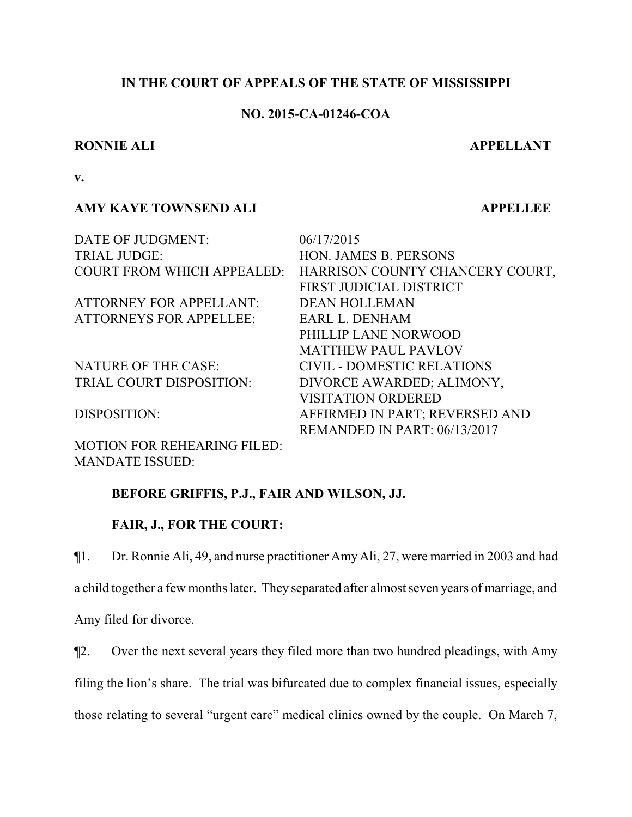# **IN THE COURT OF APPEALS OF THE STATE OF MISSISSIPPI**

# **NO. 2015-CA-01246-COA**

## **RONNIE ALI APPELLANT**

**v.**

# **AMY KAYE TOWNSEND ALI APPELLEE**

DATE OF JUDGMENT:  $06/17/2015$ TRIAL JUDGE: HON. JAMES B. PERSONS COURT FROM WHICH APPEALED: HARRISON COUNTY CHANCERY COURT, FIRST JUDICIAL DISTRICT ATTORNEY FOR APPELLANT: DEAN HOLLEMAN ATTORNEYS FOR APPELLEE: EARL L. DENHAM PHILLIP LANE NORWOOD MATTHEW PAUL PAVLOV NATURE OF THE CASE: CIVIL - DOMESTIC RELATIONS TRIAL COURT DISPOSITION: DIVORCE AWARDED; ALIMONY, VISITATION ORDERED DISPOSITION: AFFIRMED IN PART; REVERSED AND REMANDED IN PART: 06/13/2017

MOTION FOR REHEARING FILED: MANDATE ISSUED:

# **BEFORE GRIFFIS, P.J., FAIR AND WILSON, JJ.**

# **FAIR, J., FOR THE COURT:**

¶1. Dr. Ronnie Ali, 49, and nurse practitioner Amy Ali, 27, were married in 2003 and had a child together a few months later. They separated after almost seven years of marriage, and Amy filed for divorce.

¶2. Over the next several years they filed more than two hundred pleadings, with Amy filing the lion's share. The trial was bifurcated due to complex financial issues, especially those relating to several "urgent care" medical clinics owned by the couple. On March 7,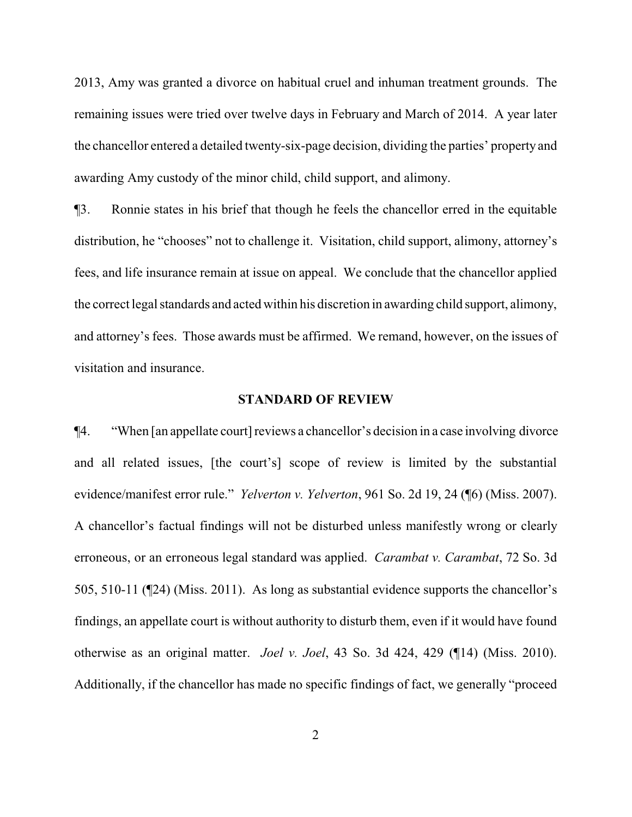2013, Amy was granted a divorce on habitual cruel and inhuman treatment grounds. The remaining issues were tried over twelve days in February and March of 2014. A year later the chancellor entered a detailed twenty-six-page decision, dividing the parties' property and awarding Amy custody of the minor child, child support, and alimony.

¶3. Ronnie states in his brief that though he feels the chancellor erred in the equitable distribution, he "chooses" not to challenge it. Visitation, child support, alimony, attorney's fees, and life insurance remain at issue on appeal. We conclude that the chancellor applied the correct legal standards and acted within his discretion in awarding child support, alimony, and attorney's fees. Those awards must be affirmed. We remand, however, on the issues of visitation and insurance.

## **STANDARD OF REVIEW**

¶4. "When [an appellate court] reviews a chancellor's decision in a case involving divorce and all related issues, [the court's] scope of review is limited by the substantial evidence/manifest error rule." *Yelverton v. Yelverton*, 961 So. 2d 19, 24 (¶6) (Miss. 2007). A chancellor's factual findings will not be disturbed unless manifestly wrong or clearly erroneous, or an erroneous legal standard was applied. *Carambat v. Carambat*, 72 So. 3d 505, 510-11 (¶24) (Miss. 2011). As long as substantial evidence supports the chancellor's findings, an appellate court is without authority to disturb them, even if it would have found otherwise as an original matter. *Joel v. Joel*, 43 So. 3d 424, 429 (¶14) (Miss. 2010). Additionally, if the chancellor has made no specific findings of fact, we generally "proceed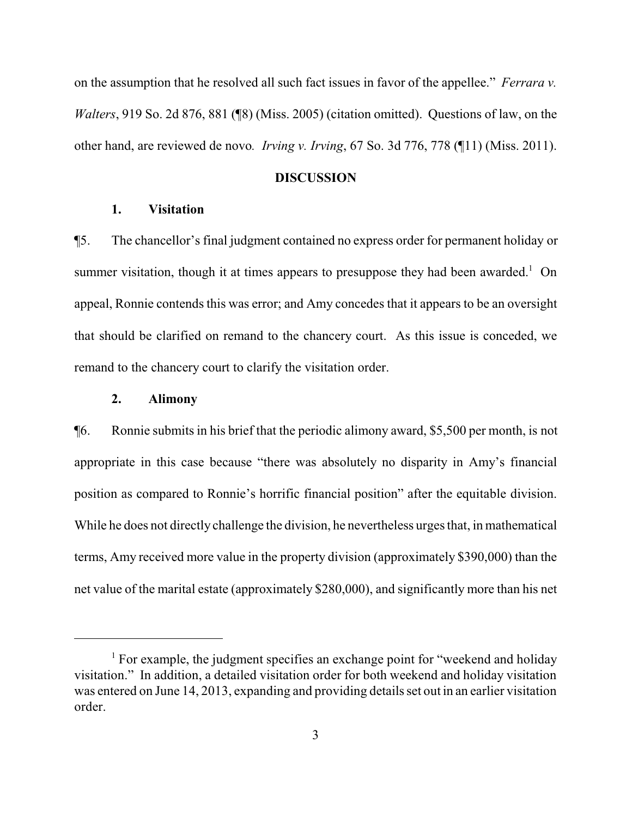on the assumption that he resolved all such fact issues in favor of the appellee." *Ferrara v. Walters*, 919 So. 2d 876, 881 (¶8) (Miss. 2005) (citation omitted). Questions of law, on the other hand, are reviewed de novo*. Irving v. Irving*, 67 So. 3d 776, 778 (¶11) (Miss. 2011).

## **DISCUSSION**

## **1. Visitation**

¶5. The chancellor's final judgment contained no express order for permanent holiday or summer visitation, though it at times appears to presuppose they had been awarded.<sup>1</sup> On appeal, Ronnie contends this was error; and Amy concedes that it appears to be an oversight that should be clarified on remand to the chancery court. As this issue is conceded, we remand to the chancery court to clarify the visitation order.

## **2. Alimony**

¶6. Ronnie submits in his brief that the periodic alimony award, \$5,500 per month, is not appropriate in this case because "there was absolutely no disparity in Amy's financial position as compared to Ronnie's horrific financial position" after the equitable division. While he does not directly challenge the division, he nevertheless urges that, in mathematical terms, Amy received more value in the property division (approximately \$390,000) than the net value of the marital estate (approximately \$280,000), and significantly more than his net

<sup>&</sup>lt;sup>1</sup> For example, the judgment specifies an exchange point for "weekend and holiday" visitation." In addition, a detailed visitation order for both weekend and holiday visitation was entered on June 14, 2013, expanding and providing details set out in an earlier visitation order.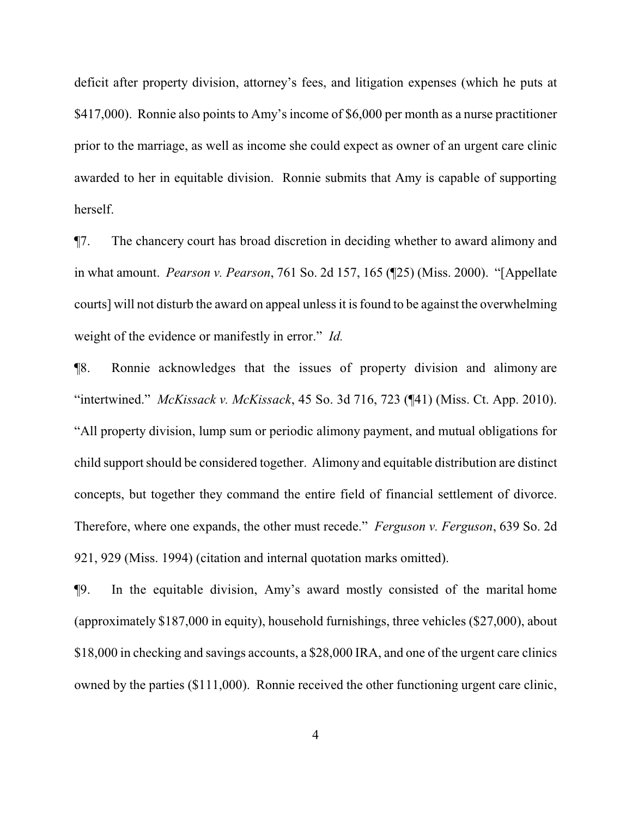deficit after property division, attorney's fees, and litigation expenses (which he puts at \$417,000). Ronnie also points to Amy's income of \$6,000 per month as a nurse practitioner prior to the marriage, as well as income she could expect as owner of an urgent care clinic awarded to her in equitable division. Ronnie submits that Amy is capable of supporting herself.

¶7. The chancery court has broad discretion in deciding whether to award alimony and in what amount. *Pearson v. Pearson*, 761 So. 2d 157, 165 (¶25) (Miss. 2000). "[Appellate courts] will not disturb the award on appeal unless it is found to be against the overwhelming weight of the evidence or manifestly in error." *Id.*

¶8. Ronnie acknowledges that the issues of property division and alimony are "intertwined." *McKissack v. McKissack*, 45 So. 3d 716, 723 (¶41) (Miss. Ct. App. 2010). "All property division, lump sum or periodic alimony payment, and mutual obligations for child support should be considered together. Alimony and equitable distribution are distinct concepts, but together they command the entire field of financial settlement of divorce. Therefore, where one expands, the other must recede." *Ferguson v. Ferguson*, 639 So. 2d 921, 929 (Miss. 1994) (citation and internal quotation marks omitted).

¶9. In the equitable division, Amy's award mostly consisted of the marital home (approximately \$187,000 in equity), household furnishings, three vehicles (\$27,000), about \$18,000 in checking and savings accounts, a \$28,000 IRA, and one of the urgent care clinics owned by the parties (\$111,000). Ronnie received the other functioning urgent care clinic,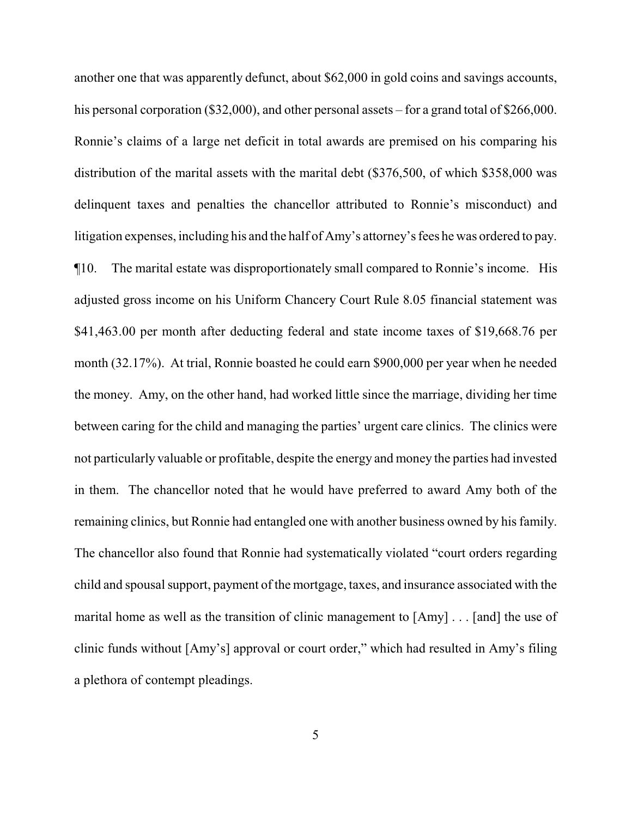another one that was apparently defunct, about \$62,000 in gold coins and savings accounts, his personal corporation (\$32,000), and other personal assets – for a grand total of \$266,000. Ronnie's claims of a large net deficit in total awards are premised on his comparing his distribution of the marital assets with the marital debt (\$376,500, of which \$358,000 was delinquent taxes and penalties the chancellor attributed to Ronnie's misconduct) and litigation expenses, including his and the half of Amy's attorney's fees he was ordered to pay. ¶10. The marital estate was disproportionately small compared to Ronnie's income. His adjusted gross income on his Uniform Chancery Court Rule 8.05 financial statement was \$41,463.00 per month after deducting federal and state income taxes of \$19,668.76 per month (32.17%). At trial, Ronnie boasted he could earn \$900,000 per year when he needed the money. Amy, on the other hand, had worked little since the marriage, dividing her time between caring for the child and managing the parties' urgent care clinics. The clinics were not particularly valuable or profitable, despite the energy and money the parties had invested in them. The chancellor noted that he would have preferred to award Amy both of the remaining clinics, but Ronnie had entangled one with another business owned by his family. The chancellor also found that Ronnie had systematically violated "court orders regarding child and spousal support, payment of the mortgage, taxes, and insurance associated with the marital home as well as the transition of clinic management to [Amy] . . . [and] the use of clinic funds without [Amy's] approval or court order," which had resulted in Amy's filing a plethora of contempt pleadings.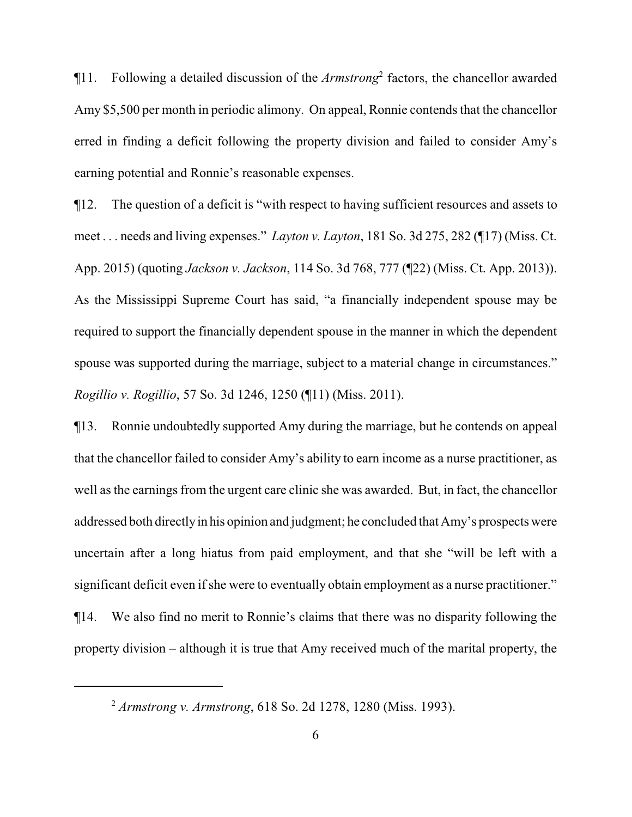¶11. Following a detailed discussion of the *Armstrong*<sup>2</sup> factors, the chancellor awarded Amy \$5,500 per month in periodic alimony. On appeal, Ronnie contends that the chancellor erred in finding a deficit following the property division and failed to consider Amy's earning potential and Ronnie's reasonable expenses.

¶12. The question of a deficit is "with respect to having sufficient resources and assets to meet . . . needs and living expenses." *Layton v. Layton*, 181 So. 3d 275, 282 (¶17) (Miss. Ct. App. 2015) (quoting *Jackson v. Jackson*, 114 So. 3d 768, 777 (¶22) (Miss. Ct. App. 2013)). As the Mississippi Supreme Court has said, "a financially independent spouse may be required to support the financially dependent spouse in the manner in which the dependent spouse was supported during the marriage, subject to a material change in circumstances." *Rogillio v. Rogillio*, 57 So. 3d 1246, 1250 (¶11) (Miss. 2011).

¶13. Ronnie undoubtedly supported Amy during the marriage, but he contends on appeal that the chancellor failed to consider Amy's ability to earn income as a nurse practitioner, as well as the earnings from the urgent care clinic she was awarded. But, in fact, the chancellor addressed both directlyin his opinion and judgment; he concluded that Amy's prospects were uncertain after a long hiatus from paid employment, and that she "will be left with a significant deficit even if she were to eventually obtain employment as a nurse practitioner." ¶14. We also find no merit to Ronnie's claims that there was no disparity following the

property division – although it is true that Amy received much of the marital property, the

<sup>2</sup> *Armstrong v. Armstrong*, 618 So. 2d 1278, 1280 (Miss. 1993).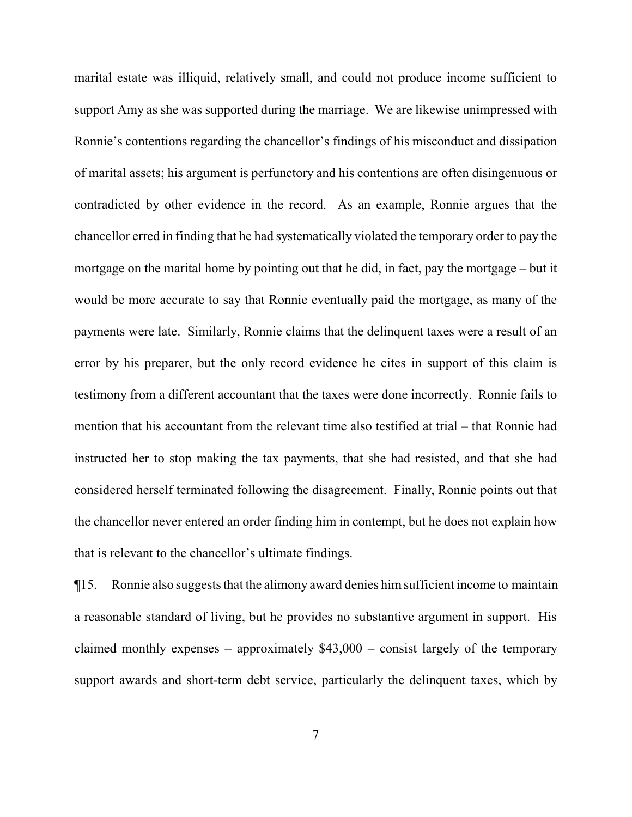marital estate was illiquid, relatively small, and could not produce income sufficient to support Amy as she was supported during the marriage. We are likewise unimpressed with Ronnie's contentions regarding the chancellor's findings of his misconduct and dissipation of marital assets; his argument is perfunctory and his contentions are often disingenuous or contradicted by other evidence in the record. As an example, Ronnie argues that the chancellor erred in finding that he had systematically violated the temporary order to pay the mortgage on the marital home by pointing out that he did, in fact, pay the mortgage – but it would be more accurate to say that Ronnie eventually paid the mortgage, as many of the payments were late. Similarly, Ronnie claims that the delinquent taxes were a result of an error by his preparer, but the only record evidence he cites in support of this claim is testimony from a different accountant that the taxes were done incorrectly. Ronnie fails to mention that his accountant from the relevant time also testified at trial – that Ronnie had instructed her to stop making the tax payments, that she had resisted, and that she had considered herself terminated following the disagreement. Finally, Ronnie points out that the chancellor never entered an order finding him in contempt, but he does not explain how that is relevant to the chancellor's ultimate findings.

¶15. Ronnie also suggests that the alimony award denies himsufficient income to maintain a reasonable standard of living, but he provides no substantive argument in support. His claimed monthly expenses – approximately  $$43,000$  – consist largely of the temporary support awards and short-term debt service, particularly the delinquent taxes, which by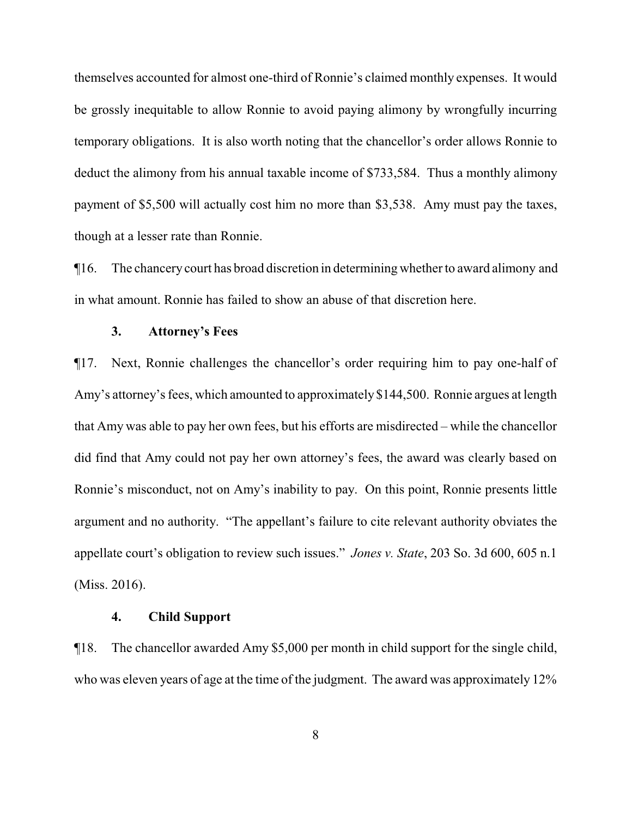themselves accounted for almost one-third of Ronnie's claimed monthly expenses. It would be grossly inequitable to allow Ronnie to avoid paying alimony by wrongfully incurring temporary obligations. It is also worth noting that the chancellor's order allows Ronnie to deduct the alimony from his annual taxable income of \$733,584. Thus a monthly alimony payment of \$5,500 will actually cost him no more than \$3,538. Amy must pay the taxes, though at a lesser rate than Ronnie.

¶16. The chancery court has broad discretion in determining whether to award alimony and in what amount. Ronnie has failed to show an abuse of that discretion here.

## **3. Attorney's Fees**

¶17. Next, Ronnie challenges the chancellor's order requiring him to pay one-half of Amy's attorney's fees, which amounted to approximately \$144,500. Ronnie argues at length that Amy was able to pay her own fees, but his efforts are misdirected – while the chancellor did find that Amy could not pay her own attorney's fees, the award was clearly based on Ronnie's misconduct, not on Amy's inability to pay. On this point, Ronnie presents little argument and no authority. "The appellant's failure to cite relevant authority obviates the appellate court's obligation to review such issues." *Jones v. State*, 203 So. 3d 600, 605 n.1 (Miss. 2016).

## **4. Child Support**

¶18. The chancellor awarded Amy \$5,000 per month in child support for the single child, who was eleven years of age at the time of the judgment. The award was approximately 12%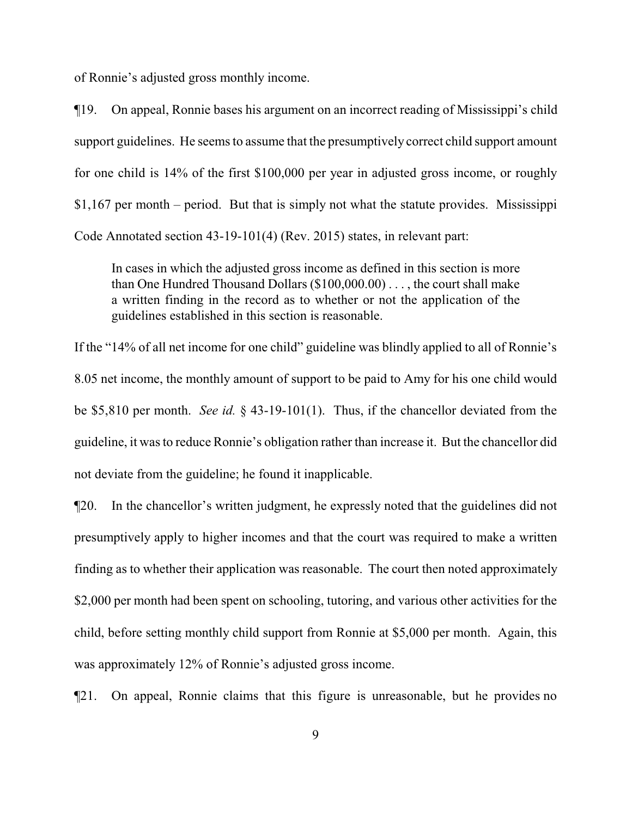of Ronnie's adjusted gross monthly income.

¶19. On appeal, Ronnie bases his argument on an incorrect reading of Mississippi's child support guidelines. He seems to assume that the presumptively correct child support amount for one child is 14% of the first \$100,000 per year in adjusted gross income, or roughly \$1,167 per month – period. But that is simply not what the statute provides. Mississippi Code Annotated section 43-19-101(4) (Rev. 2015) states, in relevant part:

In cases in which the adjusted gross income as defined in this section is more than One Hundred Thousand Dollars (\$100,000.00) . . . , the court shall make a written finding in the record as to whether or not the application of the guidelines established in this section is reasonable.

If the "14% of all net income for one child" guideline was blindly applied to all of Ronnie's 8.05 net income, the monthly amount of support to be paid to Amy for his one child would be \$5,810 per month. *See id.* § 43-19-101(1). Thus, if the chancellor deviated from the guideline, it was to reduce Ronnie's obligation rather than increase it. But the chancellor did not deviate from the guideline; he found it inapplicable.

¶20. In the chancellor's written judgment, he expressly noted that the guidelines did not presumptively apply to higher incomes and that the court was required to make a written finding as to whether their application was reasonable. The court then noted approximately \$2,000 per month had been spent on schooling, tutoring, and various other activities for the child, before setting monthly child support from Ronnie at \$5,000 per month. Again, this was approximately 12% of Ronnie's adjusted gross income.

¶21. On appeal, Ronnie claims that this figure is unreasonable, but he provides no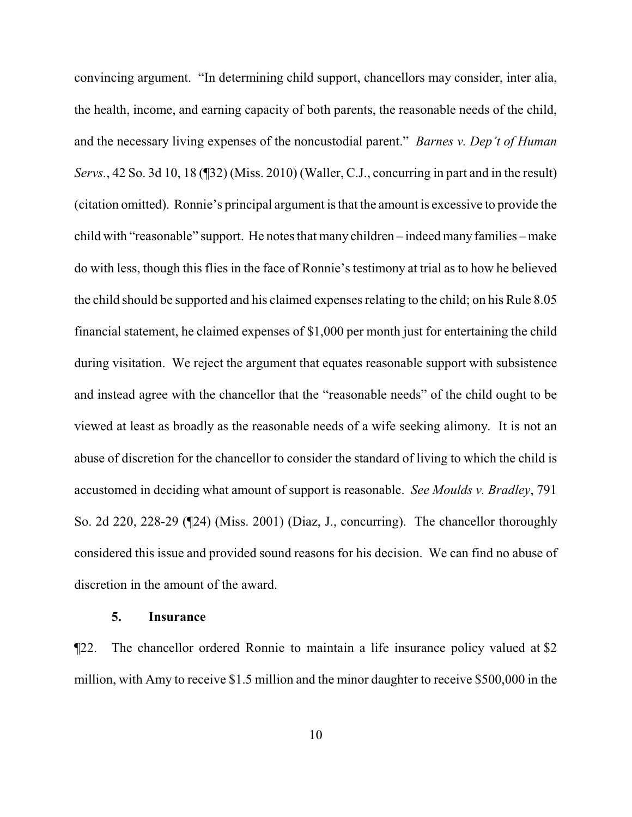convincing argument. "In determining child support, chancellors may consider, inter alia, the health, income, and earning capacity of both parents, the reasonable needs of the child, and the necessary living expenses of the noncustodial parent." *Barnes v. Dep't of Human Servs.*, 42 So. 3d 10, 18 (¶32) (Miss. 2010) (Waller, C.J., concurring in part and in the result) (citation omitted). Ronnie's principal argument is that the amount is excessive to provide the child with "reasonable" support. He notes that many children – indeed many families – make do with less, though this flies in the face of Ronnie's testimony at trial as to how he believed the child should be supported and his claimed expenses relating to the child; on his Rule 8.05 financial statement, he claimed expenses of \$1,000 per month just for entertaining the child during visitation. We reject the argument that equates reasonable support with subsistence and instead agree with the chancellor that the "reasonable needs" of the child ought to be viewed at least as broadly as the reasonable needs of a wife seeking alimony. It is not an abuse of discretion for the chancellor to consider the standard of living to which the child is accustomed in deciding what amount of support is reasonable. *See Moulds v. Bradley*, 791 So. 2d 220, 228-29 (¶24) (Miss. 2001) (Diaz, J., concurring). The chancellor thoroughly considered this issue and provided sound reasons for his decision. We can find no abuse of discretion in the amount of the award.

## **5. Insurance**

¶22. The chancellor ordered Ronnie to maintain a life insurance policy valued at \$2 million, with Amy to receive \$1.5 million and the minor daughter to receive \$500,000 in the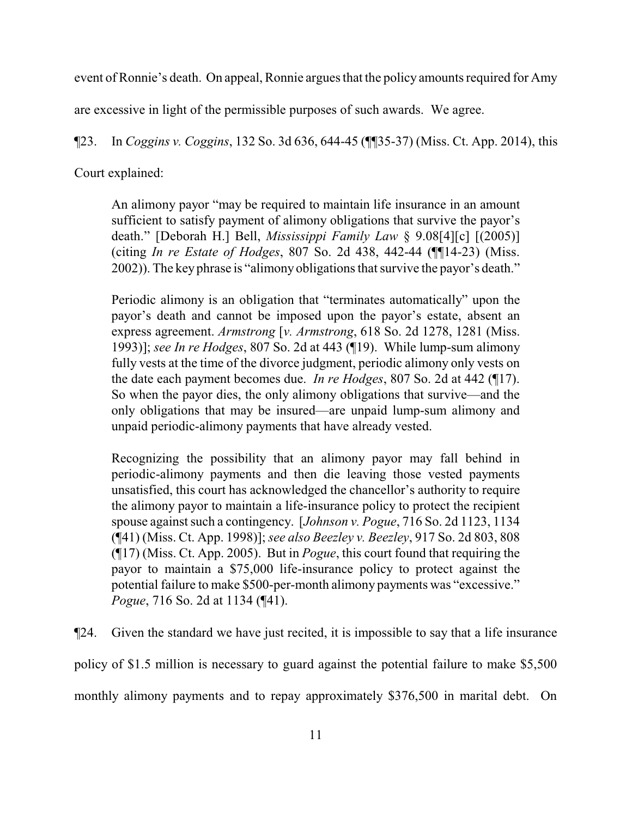event of Ronnie's death. On appeal, Ronnie argues that the policy amounts required for Amy

are excessive in light of the permissible purposes of such awards. We agree.

¶23. In *Coggins v. Coggins*, 132 So. 3d 636, 644-45 (¶¶35-37) (Miss. Ct. App. 2014), this

Court explained:

An alimony payor "may be required to maintain life insurance in an amount sufficient to satisfy payment of alimony obligations that survive the payor's death." [Deborah H.] Bell, *Mississippi Family Law* § 9.08[4][c] [(2005)] (citing *In re Estate of Hodges*, 807 So. 2d 438, 442-44 (¶¶14-23) (Miss. 2002)). The key phrase is "alimony obligations that survive the payor's death."

Periodic alimony is an obligation that "terminates automatically" upon the payor's death and cannot be imposed upon the payor's estate, absent an express agreement. *Armstrong* [*v. Armstrong*, 618 So. 2d 1278, 1281 (Miss. 1993)]; *see In re Hodges*, 807 So. 2d at 443 (¶19). While lump-sum alimony fully vests at the time of the divorce judgment, periodic alimony only vests on the date each payment becomes due. *In re Hodges*, 807 So. 2d at 442 (¶17). So when the payor dies, the only alimony obligations that survive—and the only obligations that may be insured—are unpaid lump-sum alimony and unpaid periodic-alimony payments that have already vested.

Recognizing the possibility that an alimony payor may fall behind in periodic-alimony payments and then die leaving those vested payments unsatisfied, this court has acknowledged the chancellor's authority to require the alimony payor to maintain a life-insurance policy to protect the recipient spouse against such a contingency. [*Johnson v. Pogue*, 716 So. 2d 1123, 1134 (¶41) (Miss. Ct. App. 1998)]; *see also Beezley v. Beezley*, 917 So. 2d 803, 808 (¶17) (Miss. Ct. App. 2005). But in *Pogue*, this court found that requiring the payor to maintain a \$75,000 life-insurance policy to protect against the potential failure to make \$500-per-month alimony payments was "excessive." *Pogue*, 716 So. 2d at 1134 (¶41).

¶24. Given the standard we have just recited, it is impossible to say that a life insurance policy of \$1.5 million is necessary to guard against the potential failure to make \$5,500 monthly alimony payments and to repay approximately \$376,500 in marital debt. On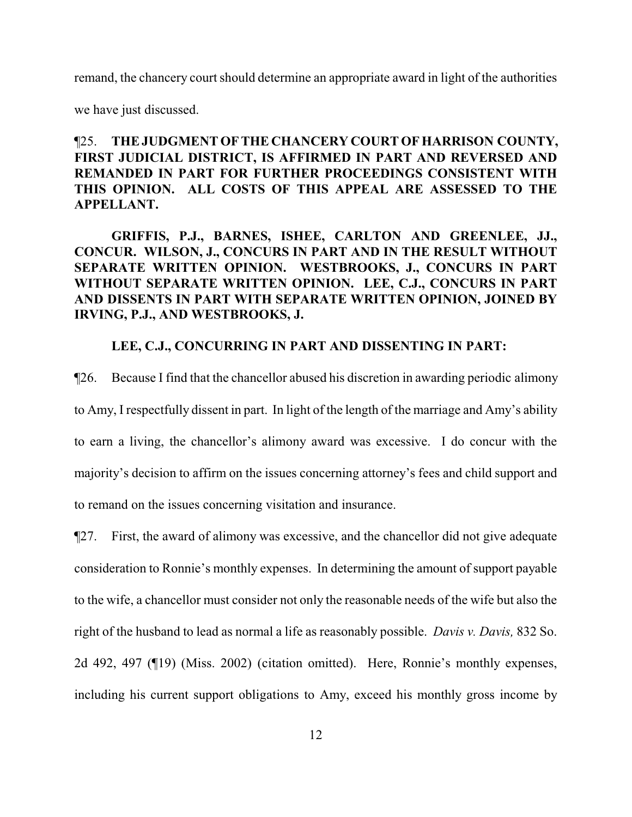remand, the chancery court should determine an appropriate award in light of the authorities

we have just discussed.

# ¶25. **THE JUDGMENT OF THE CHANCERY COURT OF HARRISON COUNTY, FIRST JUDICIAL DISTRICT, IS AFFIRMED IN PART AND REVERSED AND REMANDED IN PART FOR FURTHER PROCEEDINGS CONSISTENT WITH THIS OPINION. ALL COSTS OF THIS APPEAL ARE ASSESSED TO THE APPELLANT.**

**GRIFFIS, P.J., BARNES, ISHEE, CARLTON AND GREENLEE, JJ., CONCUR. WILSON, J., CONCURS IN PART AND IN THE RESULT WITHOUT SEPARATE WRITTEN OPINION. WESTBROOKS, J., CONCURS IN PART WITHOUT SEPARATE WRITTEN OPINION. LEE, C.J., CONCURS IN PART AND DISSENTS IN PART WITH SEPARATE WRITTEN OPINION, JOINED BY IRVING, P.J., AND WESTBROOKS, J.** 

## **LEE, C.J., CONCURRING IN PART AND DISSENTING IN PART:**

¶26. Because I find that the chancellor abused his discretion in awarding periodic alimony to Amy, I respectfully dissent in part. In light of the length of the marriage and Amy's ability to earn a living, the chancellor's alimony award was excessive. I do concur with the majority's decision to affirm on the issues concerning attorney's fees and child support and to remand on the issues concerning visitation and insurance.

¶27. First, the award of alimony was excessive, and the chancellor did not give adequate consideration to Ronnie's monthly expenses. In determining the amount of support payable to the wife, a chancellor must consider not only the reasonable needs of the wife but also the right of the husband to lead as normal a life as reasonably possible. *Davis v. Davis,* 832 So. 2d 492, 497 (¶19) (Miss. 2002) (citation omitted). Here, Ronnie's monthly expenses, including his current support obligations to Amy, exceed his monthly gross income by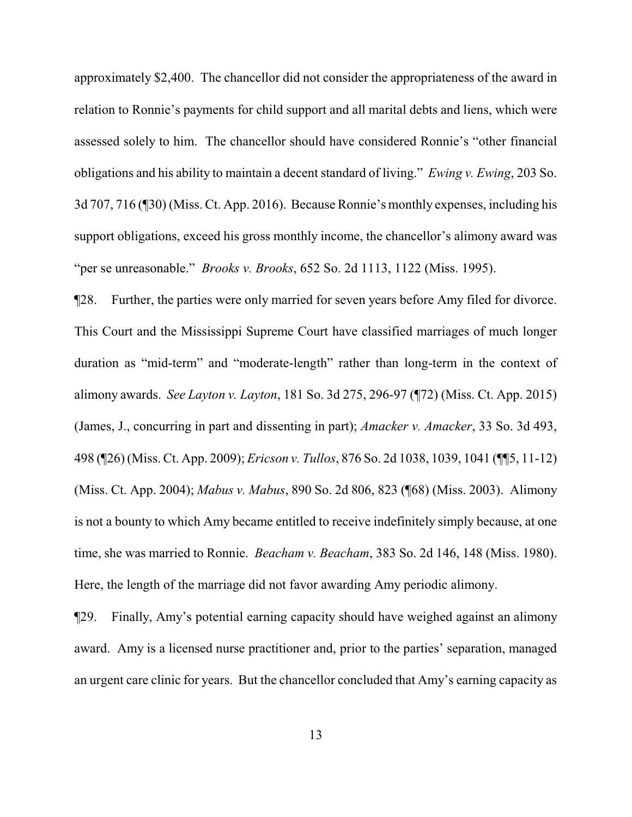approximately \$2,400. The chancellor did not consider the appropriateness of the award in relation to Ronnie's payments for child support and all marital debts and liens, which were assessed solely to him. The chancellor should have considered Ronnie's "other financial obligations and his ability to maintain a decent standard of living." *Ewing v. Ewing*, 203 So. 3d 707, 716 (¶30) (Miss. Ct. App. 2016). Because Ronnie's monthly expenses, including his support obligations, exceed his gross monthly income, the chancellor's alimony award was "per se unreasonable." *Brooks v. Brooks*, 652 So. 2d 1113, 1122 (Miss. 1995).

¶28. Further, the parties were only married for seven years before Amy filed for divorce. This Court and the Mississippi Supreme Court have classified marriages of much longer duration as "mid-term" and "moderate-length" rather than long-term in the context of alimony awards. *See Layton v. Layton*, 181 So. 3d 275, 296-97 (¶72) (Miss. Ct. App. 2015) (James, J., concurring in part and dissenting in part); *Amacker v. Amacker*, 33 So. 3d 493, 498 (¶26) (Miss. Ct. App. 2009); *Ericson v. Tullos*, 876 So. 2d 1038, 1039, 1041 (¶¶5, 11-12) (Miss. Ct. App. 2004); *Mabus v. Mabus*, 890 So. 2d 806, 823 (¶68) (Miss. 2003). Alimony is not a bounty to which Amy became entitled to receive indefinitely simply because, at one time, she was married to Ronnie. *Beacham v. Beacham*, 383 So. 2d 146, 148 (Miss. 1980). Here, the length of the marriage did not favor awarding Amy periodic alimony.

¶29. Finally, Amy's potential earning capacity should have weighed against an alimony award. Amy is a licensed nurse practitioner and, prior to the parties' separation, managed an urgent care clinic for years. But the chancellor concluded that Amy's earning capacity as